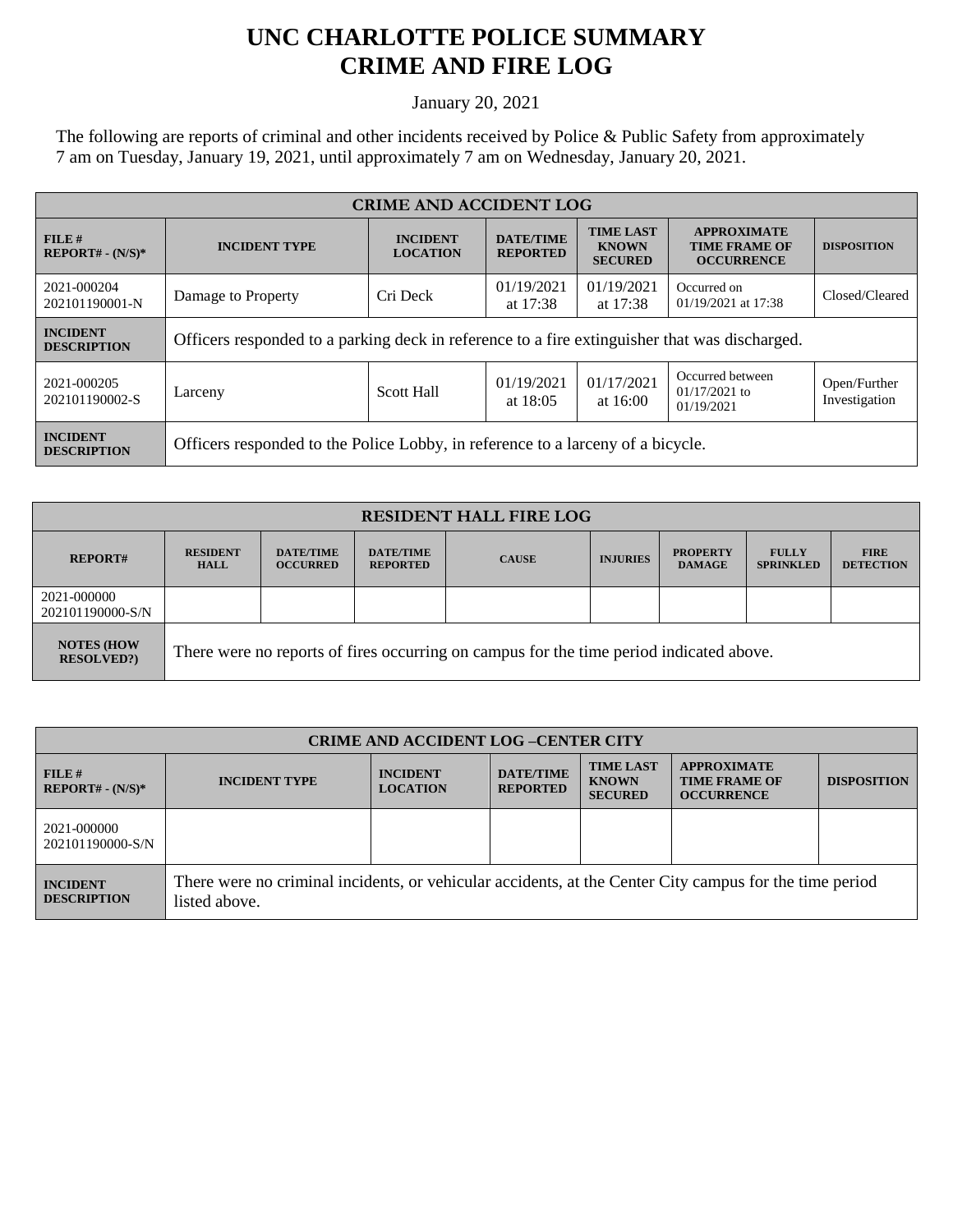## **UNC CHARLOTTE POLICE SUMMARY CRIME AND FIRE LOG**

January 20, 2021

The following are reports of criminal and other incidents received by Police & Public Safety from approximately 7 am on Tuesday, January 19, 2021, until approximately 7 am on Wednesday, January 20, 2021.

| <b>CRIME AND ACCIDENT LOG</b>         |                                                                                                                                                         |                   |                                                                 |                          |                                                   |                               |  |
|---------------------------------------|---------------------------------------------------------------------------------------------------------------------------------------------------------|-------------------|-----------------------------------------------------------------|--------------------------|---------------------------------------------------|-------------------------------|--|
| FILE#<br>$REPORT# - (N/S)*$           | <b>TIME LAST</b><br><b>DATE/TIME</b><br><b>INCIDENT</b><br><b>INCIDENT TYPE</b><br><b>KNOWN</b><br><b>LOCATION</b><br><b>REPORTED</b><br><b>SECURED</b> |                   | <b>APPROXIMATE</b><br><b>TIME FRAME OF</b><br><b>OCCURRENCE</b> | <b>DISPOSITION</b>       |                                                   |                               |  |
| 2021-000204<br>202101190001-N         | Damage to Property                                                                                                                                      | Cri Deck          | 01/19/2021<br>at $17:38$                                        | 01/19/2021<br>at 17:38   | Occurred on<br>01/19/2021 at 17:38                | Closed/Cleared                |  |
| <b>INCIDENT</b><br><b>DESCRIPTION</b> | Officers responded to a parking deck in reference to a fire extinguisher that was discharged.                                                           |                   |                                                                 |                          |                                                   |                               |  |
| 2021-000205<br>202101190002-S         | Larceny                                                                                                                                                 | <b>Scott Hall</b> | 01/19/2021<br>at $18:05$                                        | 01/17/2021<br>at $16:00$ | Occurred between<br>$01/17/2021$ to<br>01/19/2021 | Open/Further<br>Investigation |  |
| <b>INCIDENT</b><br><b>DESCRIPTION</b> | Officers responded to the Police Lobby, in reference to a larceny of a bicycle.                                                                         |                   |                                                                 |                          |                                                   |                               |  |

| <b>RESIDENT HALL FIRE LOG</b>           |                                                                                         |                                     |                                     |              |                 |                                  |                                  |                                 |
|-----------------------------------------|-----------------------------------------------------------------------------------------|-------------------------------------|-------------------------------------|--------------|-----------------|----------------------------------|----------------------------------|---------------------------------|
| <b>REPORT#</b>                          | <b>RESIDENT</b><br><b>HALL</b>                                                          | <b>DATE/TIME</b><br><b>OCCURRED</b> | <b>DATE/TIME</b><br><b>REPORTED</b> | <b>CAUSE</b> | <b>INJURIES</b> | <b>PROPERTY</b><br><b>DAMAGE</b> | <b>FULLY</b><br><b>SPRINKLED</b> | <b>FIRE</b><br><b>DETECTION</b> |
| 2021-000000<br>202101190000-S/N         |                                                                                         |                                     |                                     |              |                 |                                  |                                  |                                 |
| <b>NOTES (HOW)</b><br><b>RESOLVED?)</b> | There were no reports of fires occurring on campus for the time period indicated above. |                                     |                                     |              |                 |                                  |                                  |                                 |

| <b>CRIME AND ACCIDENT LOG-CENTER CITY</b> |                                                                                                                          |                                    |                                     |                                                    |                                                                 |                    |  |
|-------------------------------------------|--------------------------------------------------------------------------------------------------------------------------|------------------------------------|-------------------------------------|----------------------------------------------------|-----------------------------------------------------------------|--------------------|--|
| FILE H<br>$REPORT# - (N/S)*$              | <b>INCIDENT TYPE</b>                                                                                                     | <b>INCIDENT</b><br><b>LOCATION</b> | <b>DATE/TIME</b><br><b>REPORTED</b> | <b>TIME LAST</b><br><b>KNOWN</b><br><b>SECURED</b> | <b>APPROXIMATE</b><br><b>TIME FRAME OF</b><br><b>OCCURRENCE</b> | <b>DISPOSITION</b> |  |
| 2021-000000<br>202101190000-S/N           |                                                                                                                          |                                    |                                     |                                                    |                                                                 |                    |  |
| <b>INCIDENT</b><br><b>DESCRIPTION</b>     | There were no criminal incidents, or vehicular accidents, at the Center City campus for the time period<br>listed above. |                                    |                                     |                                                    |                                                                 |                    |  |